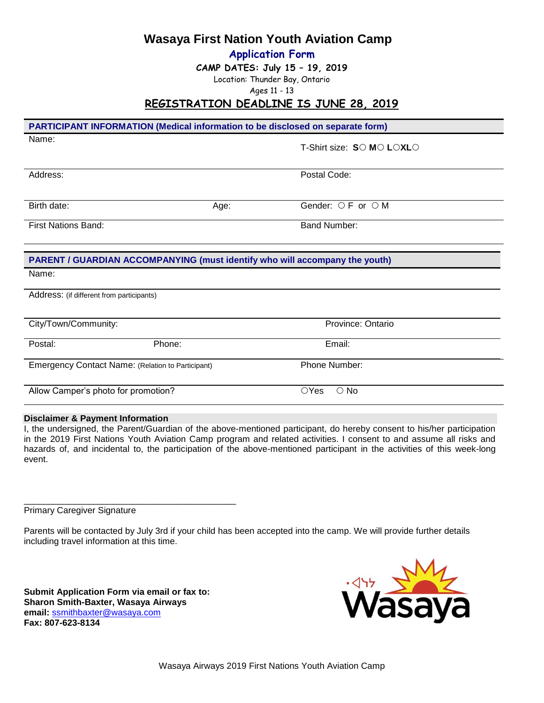**Wasaya First Nation Youth Aviation Camp**

**Application Form**

**CAMP DATES: July 15 – 19, 2019**

Location: Thunder Bay, Ontario

Ages 11 - 13

# **REGISTRATION DEADLINE IS JUNE 28, 2019**

| <b>PARTICIPANT INFORMATION (Medical information to be disclosed on separate form)</b> |      |                              |  |  |
|---------------------------------------------------------------------------------------|------|------------------------------|--|--|
| Name:                                                                                 |      | T-Shirt size: SO MO LOXLO    |  |  |
| Address:                                                                              |      | Postal Code:                 |  |  |
| Birth date:                                                                           | Age: | Gender: ○ F or ○ M           |  |  |
| <b>First Nations Band:</b>                                                            |      | <b>Band Number:</b>          |  |  |
| <b>PARENT / GUARDIAN ACCOMPANYING (must identify who will accompany the youth)</b>    |      |                              |  |  |
| Name:                                                                                 |      |                              |  |  |
| Address: (if different from participants)                                             |      |                              |  |  |
| City/Town/Community:                                                                  |      | Province: Ontario            |  |  |
| Phone:<br>Postal:                                                                     |      | Email:                       |  |  |
| Emergency Contact Name: (Relation to Participant)                                     |      | Phone Number:                |  |  |
| Allow Camper's photo for promotion?                                                   |      | $\bigcirc$ Yes<br>$\circ$ No |  |  |

### **Disclaimer & Payment Information**

I, the undersigned, the Parent/Guardian of the above-mentioned participant, do hereby consent to his/her participation in the 2019 First Nations Youth Aviation Camp program and related activities. I consent to and assume all risks and hazards of, and incidental to, the participation of the above-mentioned participant in the activities of this week-long event.

Primary Caregiver Signature

Parents will be contacted by July 3rd if your child has been accepted into the camp. We will provide further details including travel information at this time.

**Submit Application Form via email or fax to: Sharon Smith-Baxter, Wasaya Airways email:** [ssmithbaxter@wasaya.com](mailto:ssmithbaxter@wasaya.com) **Fax: 807-623-8134**

\_\_\_\_\_\_\_\_\_\_\_\_\_\_\_\_\_\_\_\_\_\_\_\_\_\_\_\_\_\_\_\_\_\_\_\_\_\_\_\_\_\_\_

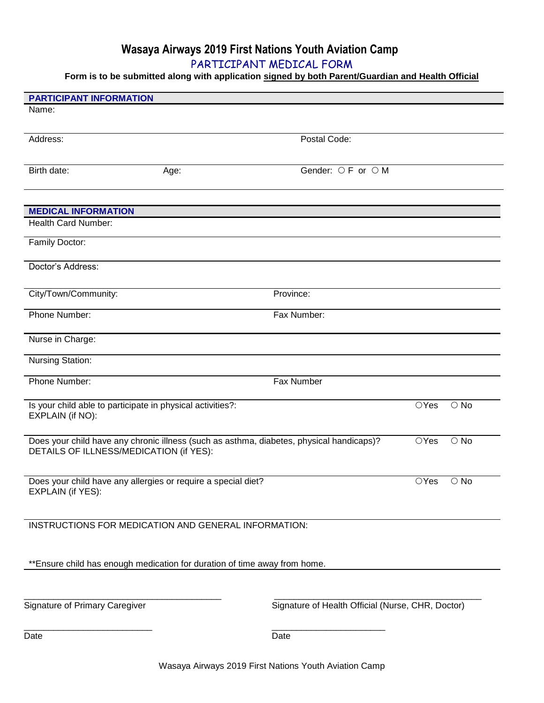# **Wasaya Airways 2019 First Nations Youth Aviation Camp**

PARTICIPANT MEDICAL FORM

**Form is to be submitted along with application signed by both Parent/Guardian and Health Official**

| <b>PARTICIPANT INFORMATION</b>                                                           |      |                                                   |                |               |
|------------------------------------------------------------------------------------------|------|---------------------------------------------------|----------------|---------------|
| Name:                                                                                    |      |                                                   |                |               |
|                                                                                          |      |                                                   |                |               |
| Address:                                                                                 |      | Postal Code:                                      |                |               |
|                                                                                          |      |                                                   |                |               |
| Birth date:                                                                              | Age: | Gender: ○ F or ○ M                                |                |               |
|                                                                                          |      |                                                   |                |               |
|                                                                                          |      |                                                   |                |               |
| <b>MEDICAL INFORMATION</b>                                                               |      |                                                   |                |               |
| Health Card Number:                                                                      |      |                                                   |                |               |
|                                                                                          |      |                                                   |                |               |
| Family Doctor:                                                                           |      |                                                   |                |               |
| Doctor's Address:                                                                        |      |                                                   |                |               |
|                                                                                          |      |                                                   |                |               |
| City/Town/Community:                                                                     |      | Province:                                         |                |               |
|                                                                                          |      |                                                   |                |               |
| Phone Number:                                                                            |      | Fax Number:                                       |                |               |
|                                                                                          |      |                                                   |                |               |
| Nurse in Charge:                                                                         |      |                                                   |                |               |
| <b>Nursing Station:</b>                                                                  |      |                                                   |                |               |
| Phone Number:                                                                            |      | Fax Number                                        |                |               |
|                                                                                          |      |                                                   |                |               |
| Is your child able to participate in physical activities?:                               |      |                                                   | $\bigcirc$ Yes | $\bigcirc$ No |
| EXPLAIN (if NO):                                                                         |      |                                                   |                |               |
|                                                                                          |      |                                                   |                |               |
| Does your child have any chronic illness (such as asthma, diabetes, physical handicaps)? |      |                                                   | $\bigcirc$ Yes | $\circ$ No    |
| DETAILS OF ILLNESS/MEDICATION (if YES):                                                  |      |                                                   |                |               |
|                                                                                          |      |                                                   |                |               |
| Does your child have any allergies or require a special diet?                            |      |                                                   | $\bigcirc$ Yes | $\bigcirc$ No |
| EXPLAIN (if YES):                                                                        |      |                                                   |                |               |
|                                                                                          |      |                                                   |                |               |
| INSTRUCTIONS FOR MEDICATION AND GENERAL INFORMATION:                                     |      |                                                   |                |               |
|                                                                                          |      |                                                   |                |               |
|                                                                                          |      |                                                   |                |               |
| ** Ensure child has enough medication for duration of time away from home.               |      |                                                   |                |               |
|                                                                                          |      |                                                   |                |               |
|                                                                                          |      |                                                   |                |               |
| Signature of Primary Caregiver                                                           |      | Signature of Health Official (Nurse, CHR, Doctor) |                |               |
|                                                                                          |      |                                                   |                |               |
| Date                                                                                     |      | Date                                              |                |               |